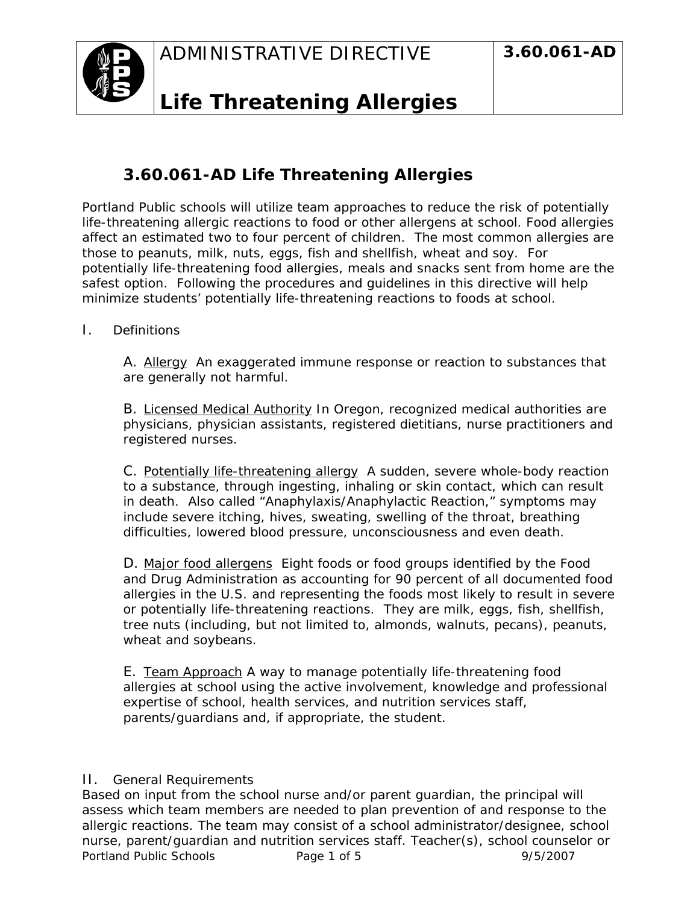

## **Life Threatening Allergies**

## **3.60.061-AD Life Threatening Allergies**

Portland Public schools will utilize team approaches to reduce the risk of potentially life-threatening allergic reactions to food or other allergens at school. Food allergies affect an estimated two to four percent of children. The most common allergies are those to peanuts, milk, nuts, eggs, fish and shellfish, wheat and soy. For potentially life-threatening food allergies, meals and snacks sent from home are the safest option. Following the procedures and guidelines in this directive will help minimize students' potentially life-threatening reactions to foods at school.

I. Definitions

A. Allergy An exaggerated immune response or reaction to substances that are generally not harmful.

B. Licensed Medical Authority In Oregon, recognized medical authorities are physicians, physician assistants, registered dietitians, nurse practitioners and registered nurses.

C. Potentially life-threatening allergy A sudden, severe whole-body reaction to a substance, through ingesting, inhaling or skin contact, which can result in death. Also called "Anaphylaxis/Anaphylactic Reaction," symptoms may include severe itching, hives, sweating, swelling of the throat, breathing difficulties, lowered blood pressure, unconsciousness and even death.

D. Major food allergens Eight foods or food groups identified by the Food and Drug Administration as accounting for 90 percent of all documented food allergies in the U.S. and representing the foods most likely to result in severe or potentially life-threatening reactions. They are milk, eggs, fish, shellfish, tree nuts (including, but not limited to, almonds, walnuts, pecans), peanuts, wheat and soybeans.

E. Team Approach A way to manage potentially life-threatening food allergies at school using the active involvement, knowledge and professional expertise of school, health services, and nutrition services staff, parents/guardians and, if appropriate, the student.

## II. General Requirements

Portland Public Schools **Page 1 of 5** 9/5/2007 Based on input from the school nurse and/or parent guardian, the principal will assess which team members are needed to plan prevention of and response to the allergic reactions. The team may consist of a school administrator/designee, school nurse, parent/guardian and nutrition services staff. Teacher(s), school counselor or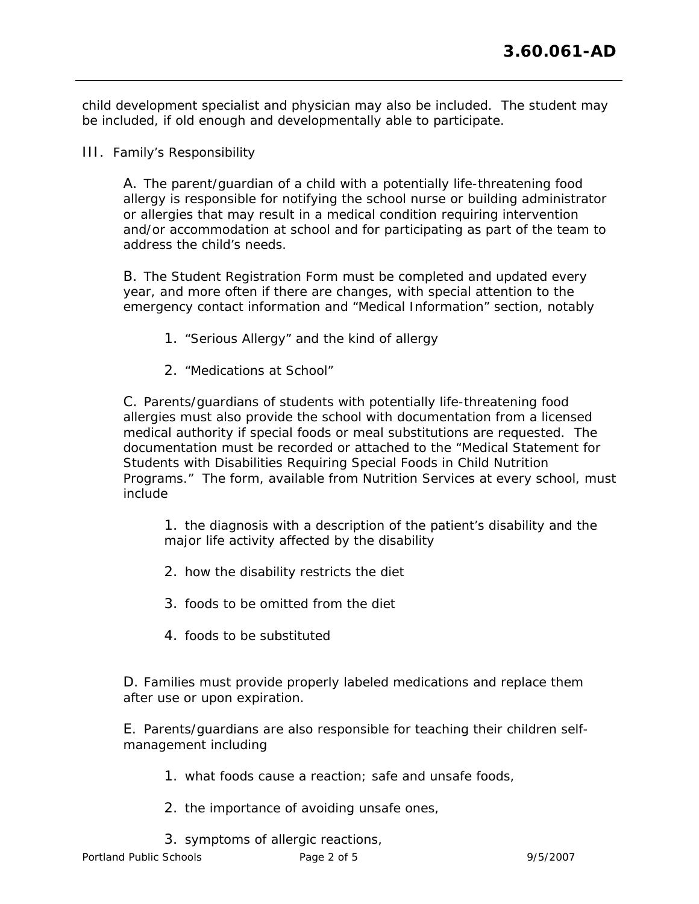child development specialist and physician may also be included. The student may be included, if old enough and developmentally able to participate.

III. Family's Responsibility

A. The parent/guardian of a child with a potentially life-threatening food allergy is responsible for notifying the school nurse or building administrator or allergies that may result in a medical condition requiring intervention and/or accommodation at school and for participating as part of the team to address the child's needs.

B. The Student Registration Form must be completed and updated every year, and more often if there are changes, with special attention to the emergency contact information and "Medical Information" section, notably

- 1. "Serious Allergy" and the kind of allergy
- 2. "Medications at School"

C. Parents/guardians of students with potentially life-threatening food allergies must also provide the school with documentation from a licensed medical authority if special foods or meal substitutions are requested. The documentation must be recorded or attached to the "Medical Statement for Students with Disabilities Requiring Special Foods in Child Nutrition Programs." The form, available from Nutrition Services at every school, must include

1. the diagnosis with a description of the patient's disability and the major life activity affected by the disability

- 2. how the disability restricts the diet
- 3. foods to be omitted from the diet
- 4. foods to be substituted

D. Families must provide properly labeled medications and replace them after use or upon expiration.

E. Parents/guardians are also responsible for teaching their children selfmanagement including

- 1. what foods cause a reaction; safe and unsafe foods,
- 2. the importance of avoiding unsafe ones,
- 3. symptoms of allergic reactions,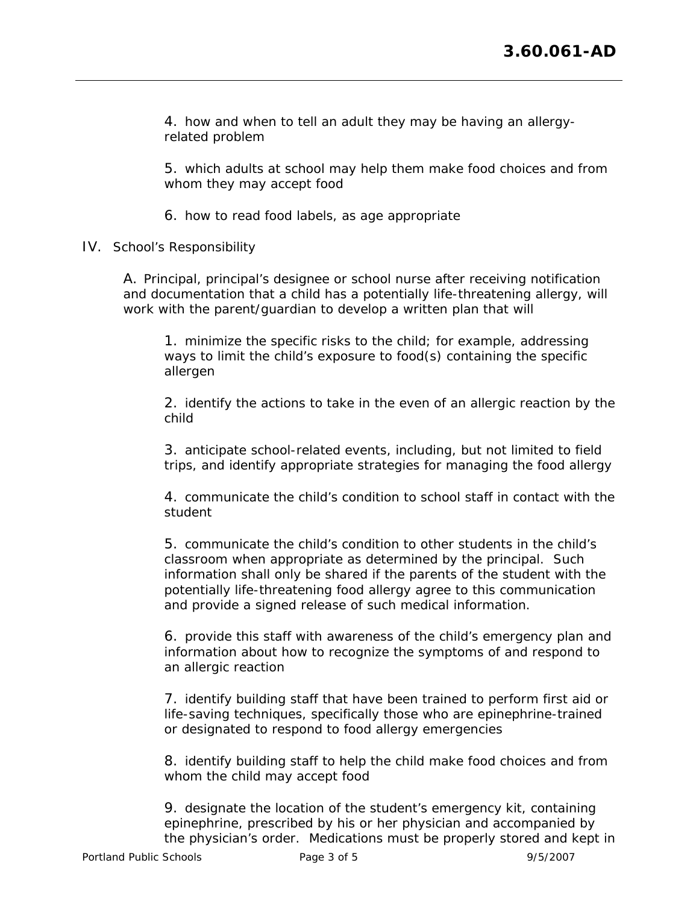4. how and when to tell an adult they may be having an allergyrelated problem

5. which adults at school may help them make food choices and from whom they may accept food

6. how to read food labels, as age appropriate

IV. School's Responsibility

A. Principal, principal's designee or school nurse after receiving notification and documentation that a child has a potentially life-threatening allergy, will work with the parent/guardian to develop a written plan that will

1. minimize the specific risks to the child; for example, addressing ways to limit the child's exposure to food(s) containing the specific allergen

2. identify the actions to take in the even of an allergic reaction by the child

3. anticipate school-related events, including, but not limited to field trips, and identify appropriate strategies for managing the food allergy

4. communicate the child's condition to school staff in contact with the student

5. communicate the child's condition to other students in the child's classroom when appropriate as determined by the principal. Such information shall only be shared if the parents of the student with the potentially life-threatening food allergy agree to this communication and provide a signed release of such medical information.

6. provide this staff with awareness of the child's emergency plan and information about how to recognize the symptoms of and respond to an allergic reaction

7. identify building staff that have been trained to perform first aid or life-saving techniques, specifically those who are epinephrine-trained or designated to respond to food allergy emergencies

8. identify building staff to help the child make food choices and from whom the child may accept food

9. designate the location of the student's emergency kit, containing epinephrine, prescribed by his or her physician and accompanied by the physician's order. Medications must be properly stored and kept in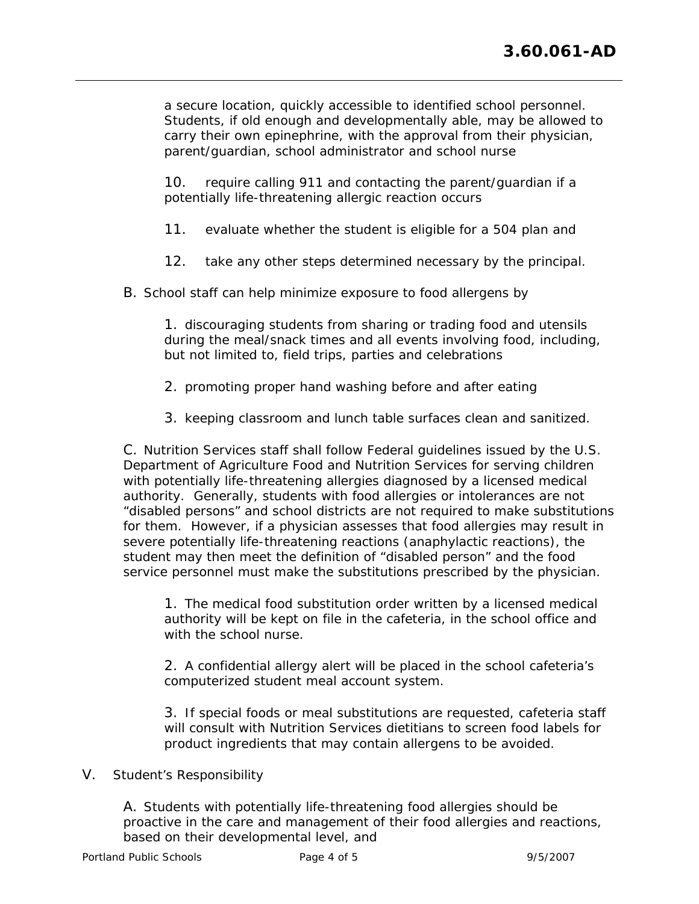a secure location, quickly accessible to identified school personnel. Students, if old enough and developmentally able, may be allowed to carry their own epinephrine, with the approval from their physician, parent/guardian, school administrator and school nurse

10. require calling 911 and contacting the parent/guardian if a potentially life-threatening allergic reaction occurs

- 11. evaluate whether the student is eligible for a 504 plan and
- 12. take any other steps determined necessary by the principal.
- B. School staff can help minimize exposure to food allergens by

1. discouraging students from sharing or trading food and utensils during the meal/snack times and all events involving food, including, but not limited to, field trips, parties and celebrations

- 2. promoting proper hand washing before and after eating
- 3. keeping classroom and lunch table surfaces clean and sanitized.

C. Nutrition Services staff shall follow Federal guidelines issued by the U.S. Department of Agriculture Food and Nutrition Services for serving children with potentially life-threatening allergies diagnosed by a licensed medical authority. Generally, students with food allergies or intolerances are not "disabled persons" and school districts are not required to make substitutions for them. However, if a physician assesses that food allergies may result in severe potentially life-threatening reactions (anaphylactic reactions), the student may then meet the definition of "disabled person" and the food service personnel must make the substitutions prescribed by the physician.

1. The medical food substitution order written by a licensed medical authority will be kept on file in the cafeteria, in the school office and with the school nurse.

2. A confidential allergy alert will be placed in the school cafeteria's computerized student meal account system.

3. If special foods or meal substitutions are requested, cafeteria staff will consult with Nutrition Services dietitians to screen food labels for product ingredients that may contain allergens to be avoided.

## V. Student's Responsibility

A. Students with potentially life-threatening food allergies should be proactive in the care and management of their food allergies and reactions, based on their developmental level, and